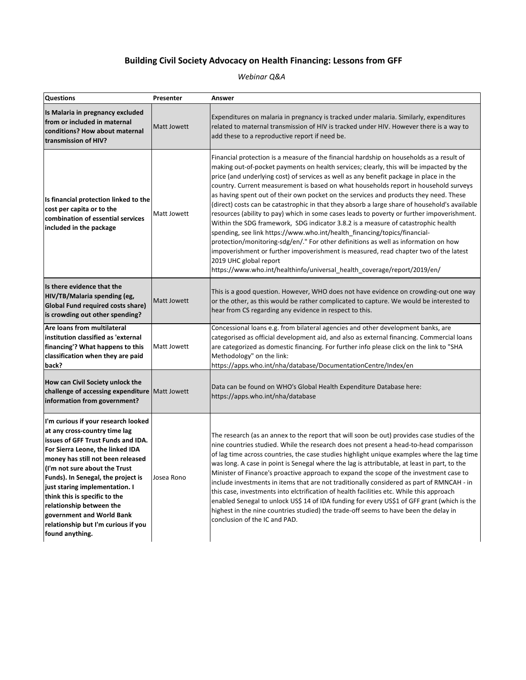## **Building Civil Society Advocacy on Health Financing: Lessons from GFF**

*Webinar Q&A*

| <b>Questions</b>                                                                                                                                                                                                                                                                                                                                                                                                                                 | Presenter   | Answer                                                                                                                                                                                                                                                                                                                                                                                                                                                                                                                                                                                                                                                                                                                                                                                                                                                                                                                                                                                                                                                                                                               |
|--------------------------------------------------------------------------------------------------------------------------------------------------------------------------------------------------------------------------------------------------------------------------------------------------------------------------------------------------------------------------------------------------------------------------------------------------|-------------|----------------------------------------------------------------------------------------------------------------------------------------------------------------------------------------------------------------------------------------------------------------------------------------------------------------------------------------------------------------------------------------------------------------------------------------------------------------------------------------------------------------------------------------------------------------------------------------------------------------------------------------------------------------------------------------------------------------------------------------------------------------------------------------------------------------------------------------------------------------------------------------------------------------------------------------------------------------------------------------------------------------------------------------------------------------------------------------------------------------------|
| Is Malaria in pregnancy excluded<br>from or included in maternal<br>conditions? How about maternal<br>transmission of HIV?                                                                                                                                                                                                                                                                                                                       | Matt Jowett | Expenditures on malaria in pregnancy is tracked under malaria. Similarly, expenditures<br>related to maternal transmission of HIV is tracked under HIV. However there is a way to<br>add these to a reproductive report if need be.                                                                                                                                                                                                                                                                                                                                                                                                                                                                                                                                                                                                                                                                                                                                                                                                                                                                                  |
| Is financial protection linked to the<br>cost per capita or to the<br>combination of essential services<br>included in the package                                                                                                                                                                                                                                                                                                               | Matt Jowett | Financial protection is a measure of the financial hardship on households as a result of<br>making out-of-pocket payments on health services; clearly, this will be impacted by the<br>price (and underlying cost) of services as well as any benefit package in place in the<br>country. Current measurement is based on what households report in household surveys<br>as having spent out of their own pocket on the services and products they need. These<br>(direct) costs can be catastrophic in that they absorb a large share of household's available<br>resources (ability to pay) which in some cases leads to poverty or further impoverishment.<br>Within the SDG framework, SDG indicator 3.8.2 is a measure of catastrophic health<br>spending, see link https://www.who.int/health_financing/topics/financial-<br>protection/monitoring-sdg/en/." For other definitions as well as information on how<br>impoverishment or further impoverishment is measured, read chapter two of the latest<br>2019 UHC global report<br>https://www.who.int/healthinfo/universal_health_coverage/report/2019/en/ |
| Is there evidence that the<br>HIV/TB/Malaria spending (eg,<br><b>Global Fund required costs share)</b><br>is crowding out other spending?                                                                                                                                                                                                                                                                                                        | Matt Jowett | This is a good question. However, WHO does not have evidence on crowding-out one way<br>or the other, as this would be rather complicated to capture. We would be interested to<br>hear from CS regarding any evidence in respect to this.                                                                                                                                                                                                                                                                                                                                                                                                                                                                                                                                                                                                                                                                                                                                                                                                                                                                           |
| Are loans from multilateral<br>institution classified as 'external<br>financing'? What happens to this<br>classification when they are paid<br>back?                                                                                                                                                                                                                                                                                             | Matt Jowett | Concessional loans e.g. from bilateral agencies and other development banks, are<br>categorised as official development aid, and also as external financing. Commercial loans<br>are categorized as domestic financing. For further info please click on the link to "SHA<br>Methodology" on the link:<br>https://apps.who.int/nha/database/DocumentationCentre/Index/en                                                                                                                                                                                                                                                                                                                                                                                                                                                                                                                                                                                                                                                                                                                                             |
| How can Civil Society unlock the<br>challenge of accessing expenditure Matt Jowett<br>information from government?                                                                                                                                                                                                                                                                                                                               |             | Data can be found on WHO's Global Health Expenditure Database here:<br>https://apps.who.int/nha/database                                                                                                                                                                                                                                                                                                                                                                                                                                                                                                                                                                                                                                                                                                                                                                                                                                                                                                                                                                                                             |
| I'm curious if your research looked<br>at any cross-country time lag<br>issues of GFF Trust Funds and IDA.<br>For Sierra Leone, the linked IDA<br>money has still not been released<br>(I'm not sure about the Trust<br>Funds). In Senegal, the project is<br>just staring implementation. I<br>think this is specific to the<br>relationship between the<br>government and World Bank<br>relationship but I'm curious if you<br>found anything. | Josea Rono  | The research (as an annex to the report that will soon be out) provides case studies of the<br>nine countries studied. While the research does not present a head-to-head comparisson<br>of lag time across countries, the case studies highlight unique examples where the lag time<br>was long. A case in point is Senegal where the lag is attributable, at least in part, to the<br>Minister of Finance's proactive approach to expand the scope of the investment case to<br>include investments in items that are not traditionally considered as part of RMNCAH - in<br>this case, investments into elctrification of health facilities etc. While this approach<br>enabled Senegal to unlock US\$ 14 of IDA funding for every US\$1 of GFF grant (which is the<br>highest in the nine countries studied) the trade-off seems to have been the delay in<br>conclusion of the IC and PAD.                                                                                                                                                                                                                      |